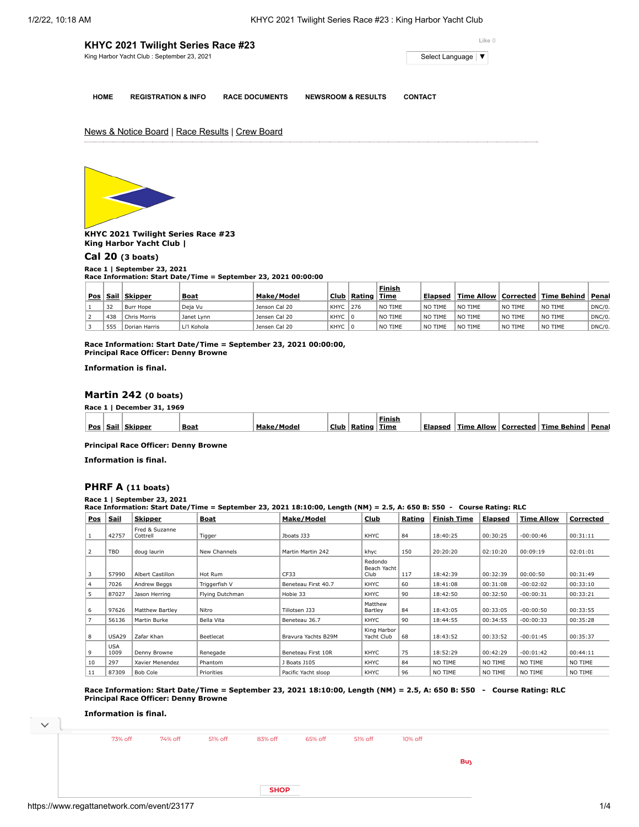| KHYC 2021 Twilight Series Race #23          | Like 0                                     |
|---------------------------------------------|--------------------------------------------|
| King Harbor Yacht Club : September 23, 2021 | Select Language $\vert \blacktriangledown$ |
|                                             |                                            |

**HOME REGISTRATION & INFO RACE DOCUMENTS NEWSROOM & RESULTS CONTACT**

**Finish**

News & Notice Board | Race Results | Crew Board



**KHYC 2021 Twilight Series Race #23 King Harbor Yacht Club |**

**[Cal 20](https://www.regattanetwork.com/clubmgmt/applet_race_scores_khyc.php?regatta_id=23177&race_num=1) (3 boats)**

**Race 1 | September 23, 2021**

**Race Information: Start Date/Time = September 23, 2021 00:00:00**

|     |      |               |             |               |             |        | Finish         |                   |         |         |                                      |        |
|-----|------|---------------|-------------|---------------|-------------|--------|----------------|-------------------|---------|---------|--------------------------------------|--------|
| Pos | Sail | Skipper       | <b>Boat</b> | Make/Model    | Club        | Rating | <b>Time</b>    | Elapsed           |         |         | Time Allow   Corrected   Time Behind | Penal  |
|     | 32   | Burr Hope     | Deja Vu     | Jenson Cal 20 | KHYC        | 276    | NO TIME        | <b>NO</b><br>TIME | NO TIME | NO TIME | NO TIME                              | DNC/0. |
|     | 438  | Chris Morris  | Janet Lynn  | Jensen Cal 20 | <b>KHYC</b> |        | <b>NO TIME</b> | <b>NO</b><br>TIME | NO TIME | NO TIME | NO TIME                              | DNC/0. |
|     | 555  | Dorian Harris | Li'l Kohola | Jensen Cal 20 | KHYC        |        | <b>NO TIME</b> | ੇ NO<br>TIME      | NO TIME | NO TIME | NO TIME                              | DNC/0. |

**Race Information: Start Date/Time = September 23, 2021 00:00:00, Principal Race Officer: Denny Browne**

**Information is final.**

## **[Martin 242](https://www.regattanetwork.com/clubmgmt/applet_race_scores_khyc.php?regatta_id=23177&race_num=1) (0 boats)**

**Race 1 | December 31, 1969**

| Pos | .sail 1 | Skinner | <b>Boat</b> | Make<br>lode | Club | Ratino | Finish<br>Time | Elansed | . Allow<br>Time | Corrected | <b>Time Behind</b> | Penal |
|-----|---------|---------|-------------|--------------|------|--------|----------------|---------|-----------------|-----------|--------------------|-------|
|-----|---------|---------|-------------|--------------|------|--------|----------------|---------|-----------------|-----------|--------------------|-------|

**Principal Race Officer: Denny Browne**

**Information is final.**

# **[PHRF A](https://www.regattanetwork.com/clubmgmt/applet_race_scores_khyc.php?regatta_id=23177&race_num=1) (11 boats)**

**Race 1 | September 23, 2021 Race Information: Start Date/Time = September 23, 2021 18:10:00, Length (NM) = 2.5, A: 650 B: 550 - Course Rating: RLC**

| <b>Pos</b>    | Sail               | <u>Skipper</u>             | Boat            | Make/Model          | Club                           | Rating | <b>Finish Time</b> | <b>Elapsed</b> | <b>Time Allow</b> | Corrected |
|---------------|--------------------|----------------------------|-----------------|---------------------|--------------------------------|--------|--------------------|----------------|-------------------|-----------|
|               | 42757              | Fred & Suzanne<br>Cottrell | Tigger          | Jboats J33          | KHYC                           | 84     | 18:40:25           | 00:30:25       | $-00:00:46$       | 00:31:11  |
| $\mathcal{L}$ | TBD                | doug laurin                | New Channels    | Martin Martin 242   | khyc                           | 150    | 20:20:20           | 02:10:20       | 00:09:19          | 02:01:01  |
|               | 57990              | <b>Albert Castillon</b>    | Hot Rum         | CF33                | Redondo<br>Beach Yacht<br>Club | 117    | 18:42:39           | 00:32:39       | 00:00:50          | 00:31:49  |
|               | 7026               | Andrew Beggs               | Triggerfish V   | Beneteau First 40.7 | KHYC                           | 60     | 18:41:08           | 00:31:08       | $-00:02:02$       | 00:33:10  |
|               | 87027              | Jason Herring              | Flying Dutchman | Hobie 33            | KHYC                           | 90     | 18:42:50           | 00:32:50       | $-00:00:31$       | 00:33:21  |
| 6             | 97626              | Matthew Bartley            | Nitro           | Tillotsen J33       | Matthew<br>Bartley             | 84     | 18:43:05           | 00:33:05       | $-00:00:50$       | 00:33:55  |
|               | 56136              | Martin Burke               | Bella Vita      | Beneteau 36.7       | KHYC                           | 90     | 18:44:55           | 00:34:55       | $-00:00:33$       | 00:35:28  |
| 8             | <b>USA29</b>       | Zafar Khan                 | Beetlecat       | Bravura Yachts B29M | King Harbor<br>Yacht Club      | 68     | 18:43:52           | 00:33:52       | $-00:01:45$       | 00:35:37  |
| 9             | <b>USA</b><br>1009 | Denny Browne               | Renegade        | Beneteau First 10R  | KHYC                           | 75     | 18:52:29           | 00:42:29       | $-00:01:42$       | 00:44:11  |
| 10            | 297                | Xavier Menendez            | Phantom         | J Boats J105        | KHYC                           | 84     | NO TIME            | NO TIME        | NO TIME           | NO TIME   |
| 11            | 87309              | Bob Cole                   | Priorities      | Pacific Yacht sloop | KHYC                           | 96     | NO TIME            | NO TIME        | NO TIME           | NO TIME   |

**Race Information: Start Date/Time = September 23, 2021 18:10:00, Length (NM) = 2.5, A: 650 B: 550 - Course Rating: RLC Principal Race Officer: Denny Browne**

#### **Information is final.**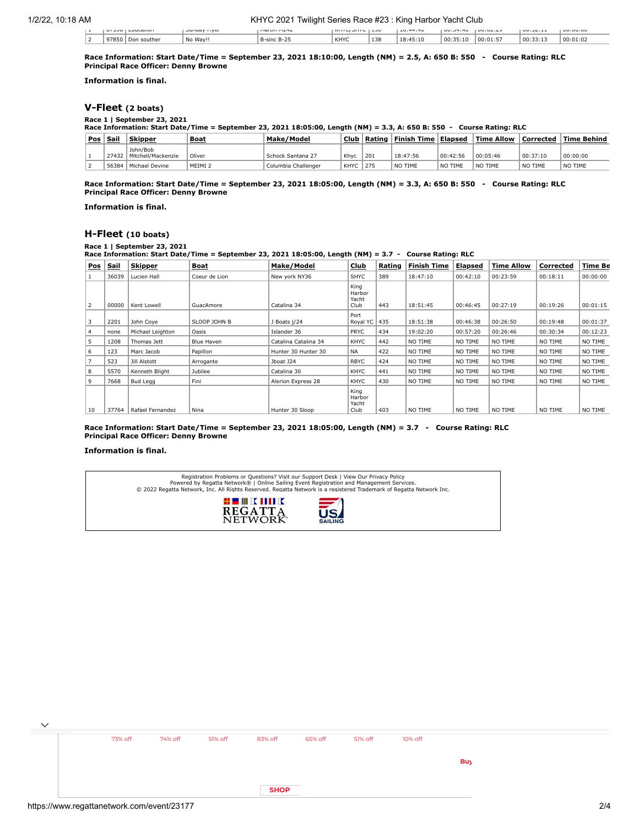| $\cdots$<br>1.1.111 | LUULGUUH     | JUILUOV I IVEI      | 1101111111112 |      | 1.00        | 10.77.70 | UU, JT, TU | $UU \cdot U \subset L \subset L$ | UU, JZ, L | <b>UU.UU.UL</b> |
|---------------------|--------------|---------------------|---------------|------|-------------|----------|------------|----------------------------------|-----------|-----------------|
| 17850               | uther<br>Don | No<br>$M =$<br>wav! | R-cir<br>--   | KHYC | 125<br>- 38 | .10      | 00:<br>10  | 00:01:5                          | . 00:37   | 00:01           |

**Race Information: Start Date/Time = September 23, 2021 18:10:00, Length (NM) = 2.5, A: 650 B: 550 - Course Rating: RLC Principal Race Officer: Denny Browne**

**Information is final.**

# **[V-Fleet](https://www.regattanetwork.com/clubmgmt/applet_race_scores_khyc.php?regatta_id=23177&race_num=1) (2 boats)**

**Race 1 | September 23, 2021 Race Information: Start Date/Time = September 23, 2021 18:05:00, Length (NM) = 3.3, A: 650 B: 550 - Course Rating: RLC**

| <b>Pos</b> | Sail  | <b>Skipper</b>                         | <b>Boat</b> | Make/Model          | Club        | Rating | Finish Time | Elapsed  | <b>Time Allow</b> | Corrected | <b>Time Behind</b> |
|------------|-------|----------------------------------------|-------------|---------------------|-------------|--------|-------------|----------|-------------------|-----------|--------------------|
|            |       | John/Bob<br>27432   Mitchell/Mackenzie | Oliver      | Schock Santana 27   | Khyc        | 201    | 18:47:56    | 00:42:56 | 00:05:46          | 00:37:10  | 00:00:00           |
|            | 56384 | Michael Devine                         | MEIMI 2     | Columbia Challenger | <b>KHYC</b> | 275    | NO TIME     | NO TIME  | NO TIME           | NO TIME   | NO TIME            |

**Race Information: Start Date/Time = September 23, 2021 18:05:00, Length (NM) = 3.3, A: 650 B: 550 - Course Rating: RLC Principal Race Officer: Denny Browne**

**Information is final.**

## **[H-Fleet](https://www.regattanetwork.com/clubmgmt/applet_race_scores_khyc.php?regatta_id=23177&race_num=1) (10 boats)**

**Race 1 | September 23, 2021**

**Race Information: Start Date/Time = September 23, 2021 18:05:00, Length (NM) = 3.7 - Course Rating: RLC**

| <b>Pos</b> | <b>Sail</b> | <b>Skipper</b>   | Boat              | Make/Model           | Club                            | Rating | <b>Finish Time</b> | <u>Elapsed</u> | <b>Time Allow</b> | Corrected | Time Be  |
|------------|-------------|------------------|-------------------|----------------------|---------------------------------|--------|--------------------|----------------|-------------------|-----------|----------|
|            | 36039       | Lucien Hall      | Coeur de Lion     | New york NY36        | <b>SHYC</b>                     | 389    | 18:47:10           | 00:42:10       | 00:23:59          | 00:18:11  | 00:00:00 |
| 2          | 00000       | Kent Lowell      | GuacAmore         | Catalina 34          | King<br>Harbor<br>Yacht<br>Club | 443    | 18:51:45           | 00:46:45       | 00:27:19          | 00:19:26  | 00:01:15 |
| 3          | 2201        | John Coye        | SLOOP JOHN B      | J Boats j/24         | Port<br>Royal YC                | 435    | 18:51:38           | 00:46:38       | 00:26:50          | 00:19:48  | 00:01:37 |
| 4          | none        | Michael Leighton | Oasis             | Islander 36          | <b>PRYC</b>                     | 434    | 19:02:20           | 00:57:20       | 00:26:46          | 00:30:34  | 00:12:23 |
| 5          | 1208        | Thomas Jett      | <b>Blue Haven</b> | Catalina Catalina 34 | KHYC                            | 442    | NO TIME            | NO TIME        | NO TIME           | NO TIME   | NO TIME  |
| 6          | 123         | Marc Jacob       | Papillon          | Hunter 30 Hunter 30  | <b>NA</b>                       | 422    | NO TIME            | NO TIME        | NO TIME           | NO TIME   | NO TIME  |
|            | 523         | Jill Alstott     | Arrogante         | Jboat J24            | <b>RBYC</b>                     | 424    | NO TIME            | NO TIME        | NO TIME           | NO TIME   | NO TIME  |
| 8          | 5570        | Kenneth Blight   | Jubilee           | Catalina 30          | <b>KHYC</b>                     | 441    | NO TIME            | NO TIME        | NO TIME           | NO TIME   | NO TIME  |
| 9          | 7668        | Bud Legg         | Fini              | Alerion Express 28   | <b>KHYC</b>                     | 430    | NO TIME            | NO TIME        | NO TIME           | NO TIME   | NO TIME  |
| 10         | 37764       | Rafael Fernandez | Nina              | Hunter 30 Sloop      | King<br>Harbor<br>Yacht<br>Club | 403    | NO TIME            | NO TIME        | NO TIME           | NO TIME   | NO TIME  |

**Race Information: Start Date/Time = September 23, 2021 18:05:00, Length (NM) = 3.7 - Course Rating: RLC Principal Race Officer: Denny Browne**

### **Information is final.**

Registration Problems or Questions? [Visit our Support Desk](http://support.regattanetwork.com/) | [View Our Privacy Policy](https://www.regattanetwork.com/html/privacy.html)<br>[Powered by Regatta Network®](http://www.regattanetwork.com/) | Online Sailing Event Registration and Management Services.<br>© 2022 [Regatta Network](http://www.regattanetwork.com/), Inc. All Rights Reserved



| $\checkmark$ |         |         |         |             |         |         |         |     |
|--------------|---------|---------|---------|-------------|---------|---------|---------|-----|
|              | 73% off | 74% off | 51% off | 83% off     | 65% off | 51% off | 10% off |     |
|              |         |         |         |             |         |         |         |     |
|              |         |         |         |             |         |         |         | Buy |
|              |         |         |         |             |         |         |         |     |
|              |         |         |         | <b>SHOP</b> |         |         |         |     |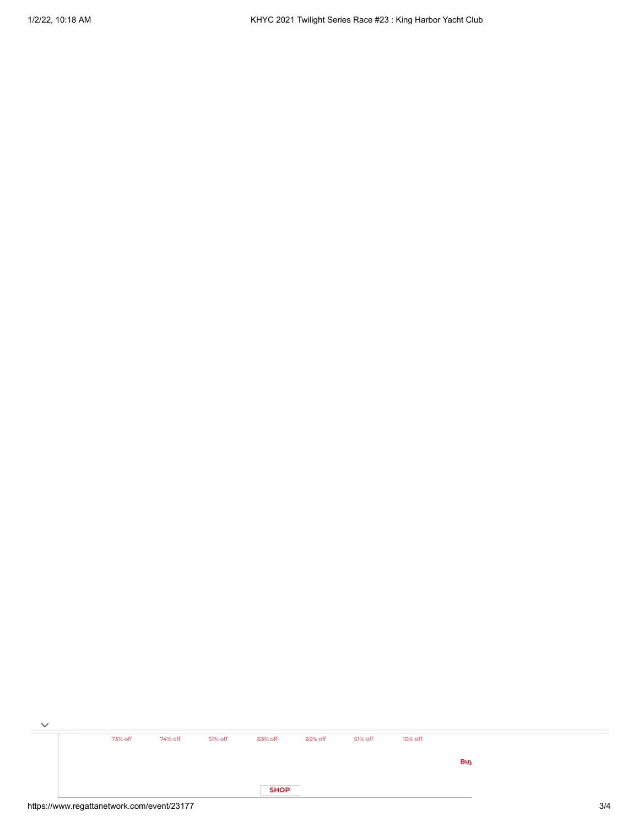| $\checkmark$ |         |         |         |             |         |         |         |            |  |
|--------------|---------|---------|---------|-------------|---------|---------|---------|------------|--|
|              | 73% off | 74% off | 51% off | 83% off     | 65% off | 51% off | 10% off |            |  |
|              |         |         |         |             |         |         |         | <b>Buy</b> |  |
|              |         |         |         |             |         |         |         |            |  |
|              |         |         |         | <b>SHOP</b> |         |         |         |            |  |